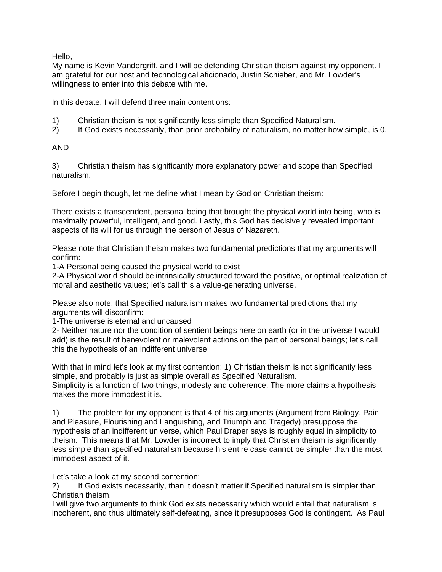Hello,

My name is Kevin Vandergriff, and I will be defending Christian theism against my opponent. I am grateful for our host and technological aficionado, Justin Schieber, and Mr. Lowder's willingness to enter into this debate with me.

In this debate, I will defend three main contentions:

- 1) Christian theism is not significantly less simple than Specified Naturalism.<br>2) If God exists necessarily, than prior probability of naturalism, no matter hot
- 2) If God exists necessarily, than prior probability of naturalism, no matter how simple, is 0.

## AND

3) Christian theism has significantly more explanatory power and scope than Specified naturalism.

Before I begin though, let me define what I mean by God on Christian theism:

There exists a transcendent, personal being that brought the physical world into being, who is maximally powerful, intelligent, and good. Lastly, this God has decisively revealed important aspects of its will for us through the person of Jesus of Nazareth.

Please note that Christian theism makes two fundamental predictions that my arguments will confirm:

1-A Personal being caused the physical world to exist

2-A Physical world should be intrinsically structured toward the positive, or optimal realization of moral and aesthetic values; let's call this a value-generating universe.

Please also note, that Specified naturalism makes two fundamental predictions that my arguments will disconfirm:

1-The universe is eternal and uncaused

2- Neither nature nor the condition of sentient beings here on earth (or in the universe I would add) is the result of benevolent or malevolent actions on the part of personal beings; let's call this the hypothesis of an indifferent universe

With that in mind let's look at my first contention: 1) Christian theism is not significantly less simple, and probably is just as simple overall as Specified Naturalism. Simplicity is a function of two things, modesty and coherence. The more claims a hypothesis makes the more immodest it is.

1) The problem for my opponent is that 4 of his arguments (Argument from Biology, Pain and Pleasure, Flourishing and Languishing, and Triumph and Tragedy) presuppose the hypothesis of an indifferent universe, which Paul Draper says is roughly equal in simplicity to theism. This means that Mr. Lowder is incorrect to imply that Christian theism is significantly less simple than specified naturalism because his entire case cannot be simpler than the most immodest aspect of it.

Let's take a look at my second contention:

2) If God exists necessarily, than it doesn't matter if Specified naturalism is simpler than Christian theism.

I will give two arguments to think God exists necessarily which would entail that naturalism is incoherent, and thus ultimately self-defeating, since it presupposes God is contingent. As Paul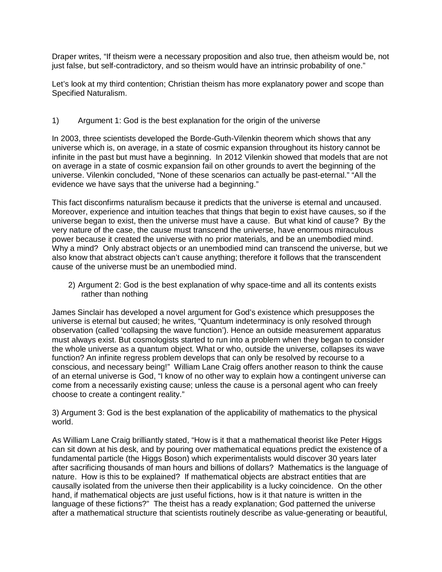Draper writes, "If theism were a necessary proposition and also true, then atheism would be, not just false, but self-contradictory, and so theism would have an intrinsic probability of one."

Let's look at my third contention; Christian theism has more explanatory power and scope than Specified Naturalism.

## 1) Argument 1: God is the best explanation for the origin of the universe

In 2003, three scientists developed the Borde-Guth-Vilenkin theorem which shows that any universe which is, on average, in a state of cosmic expansion throughout its history cannot be infinite in the past but must have a beginning. In 2012 Vilenkin showed that models that are not on average in a state of cosmic expansion fail on other grounds to avert the beginning of the universe. Vilenkin concluded, "None of these scenarios can actually be past-eternal." "All the evidence we have says that the universe had a beginning."

This fact disconfirms naturalism because it predicts that the universe is eternal and uncaused. Moreover, experience and intuition teaches that things that begin to exist have causes, so if the universe began to exist, then the universe must have a cause. But what kind of cause? By the very nature of the case, the cause must transcend the universe, have enormous miraculous power because it created the universe with no prior materials, and be an unembodied mind. Why a mind? Only abstract objects or an unembodied mind can transcend the universe, but we also know that abstract objects can't cause anything; therefore it follows that the transcendent cause of the universe must be an unembodied mind.

2) Argument 2: God is the best explanation of why space-time and all its contents exists rather than nothing

James Sinclair has developed a novel argument for God's existence which presupposes the universe is eternal but caused; he writes, "Quantum indeterminacy is only resolved through observation (called 'collapsing the wave function'). Hence an outside measurement apparatus must always exist. But cosmologists started to run into a problem when they began to consider the whole universe as a quantum object. What or who, outside the universe, collapses its wave function? An infinite regress problem develops that can only be resolved by recourse to a conscious, and necessary being!" William Lane Craig offers another reason to think the cause of an eternal universe is God, "I know of no other way to explain how a contingent universe can come from a necessarily existing cause; unless the cause is a personal agent who can freely choose to create a contingent reality."

3) Argument 3: God is the best explanation of the applicability of mathematics to the physical world.

As William Lane Craig brilliantly stated, "How is it that a mathematical theorist like Peter Higgs can sit down at his desk, and by pouring over mathematical equations predict the existence of a fundamental particle (the Higgs Boson) which experimentalists would discover 30 years later after sacrificing thousands of man hours and billions of dollars? Mathematics is the language of nature. How is this to be explained? If mathematical objects are abstract entities that are causally isolated from the universe then their applicability is a lucky coincidence. On the other hand, if mathematical objects are just useful fictions, how is it that nature is written in the language of these fictions?" The theist has a ready explanation; God patterned the universe after a mathematical structure that scientists routinely describe as value-generating or beautiful,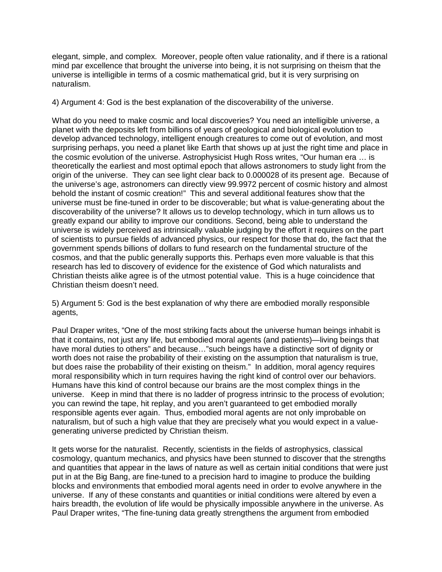elegant, simple, and complex. Moreover, people often value rationality, and if there is a rational mind par excellence that brought the universe into being, it is not surprising on theism that the universe is intelligible in terms of a cosmic mathematical grid, but it is very surprising on naturalism.

4) Argument 4: God is the best explanation of the discoverability of the universe.

What do you need to make cosmic and local discoveries? You need an intelligible universe, a planet with the deposits left from billions of years of geological and biological evolution to develop advanced technology, intelligent enough creatures to come out of evolution, and most surprising perhaps, you need a planet like Earth that shows up at just the right time and place in the cosmic evolution of the universe. Astrophysicist Hugh Ross writes, "Our human era … is theoretically the earliest and most optimal epoch that allows astronomers to study light from the origin of the universe. They can see light clear back to 0.000028 of its present age. Because of the universe's age, astronomers can directly view 99.9972 percent of cosmic history and almost behold the instant of cosmic creation!" This and several additional features show that the universe must be fine-tuned in order to be discoverable; but what is value-generating about the discoverability of the universe? It allows us to develop technology, which in turn allows us to greatly expand our ability to improve our conditions. Second, being able to understand the universe is widely perceived as intrinsically valuable judging by the effort it requires on the part of scientists to pursue fields of advanced physics, our respect for those that do, the fact that the government spends billions of dollars to fund research on the fundamental structure of the cosmos, and that the public generally supports this. Perhaps even more valuable is that this research has led to discovery of evidence for the existence of God which naturalists and Christian theists alike agree is of the utmost potential value. This is a huge coincidence that Christian theism doesn't need.

5) Argument 5: God is the best explanation of why there are embodied morally responsible agents,

Paul Draper writes, "One of the most striking facts about the universe human beings inhabit is that it contains, not just any life, but embodied moral agents (and patients)—living beings that have moral duties to others" and because…"such beings have a distinctive sort of dignity or worth does not raise the probability of their existing on the assumption that naturalism is true, but does raise the probability of their existing on theism." In addition, moral agency requires moral responsibility which in turn requires having the right kind of control over our behaviors. Humans have this kind of control because our brains are the most complex things in the universe. Keep in mind that there is no ladder of progress intrinsic to the process of evolution; you can rewind the tape, hit replay, and you aren't guaranteed to get embodied morally responsible agents ever again. Thus, embodied moral agents are not only improbable on naturalism, but of such a high value that they are precisely what you would expect in a valuegenerating universe predicted by Christian theism.

It gets worse for the naturalist. Recently, scientists in the fields of astrophysics, classical cosmology, quantum mechanics, and physics have been stunned to discover that the strengths and quantities that appear in the laws of nature as well as certain initial conditions that were just put in at the Big Bang, are fine-tuned to a precision hard to imagine to produce the building blocks and environments that embodied moral agents need in order to evolve anywhere in the universe. If any of these constants and quantities or initial conditions were altered by even a hairs breadth, the evolution of life would be physically impossible anywhere in the universe. As Paul Draper writes, "The fine-tuning data greatly strengthens the argument from embodied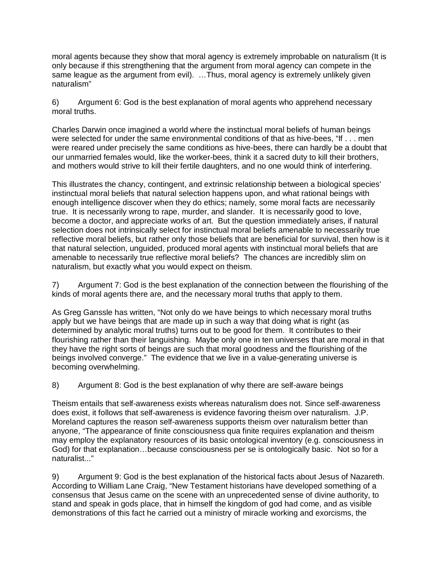moral agents because they show that moral agency is extremely improbable on naturalism (It is only because if this strengthening that the argument from moral agency can compete in the same league as the argument from evil). …Thus, moral agency is extremely unlikely given naturalism"

6) Argument 6: God is the best explanation of moral agents who apprehend necessary moral truths.

Charles Darwin once imagined a world where the instinctual moral beliefs of human beings were selected for under the same environmental conditions of that as hive-bees, "If . . . men were reared under precisely the same conditions as hive-bees, there can hardly be a doubt that our unmarried females would, like the worker-bees, think it a sacred duty to kill their brothers, and mothers would strive to kill their fertile daughters, and no one would think of interfering.

This illustrates the chancy, contingent, and extrinsic relationship between a biological species' instinctual moral beliefs that natural selection happens upon, and what rational beings with enough intelligence discover when they do ethics; namely, some moral facts are necessarily true. It is necessarily wrong to rape, murder, and slander. It is necessarily good to love, become a doctor, and appreciate works of art. But the question immediately arises, if natural selection does not intrinsically select for instinctual moral beliefs amenable to necessarily true reflective moral beliefs, but rather only those beliefs that are beneficial for survival, then how is it that natural selection, unguided, produced moral agents with instinctual moral beliefs that are amenable to necessarily true reflective moral beliefs? The chances are incredibly slim on naturalism, but exactly what you would expect on theism.

7) Argument 7: God is the best explanation of the connection between the flourishing of the kinds of moral agents there are, and the necessary moral truths that apply to them.

As Greg Ganssle has written, "Not only do we have beings to which necessary moral truths apply but we have beings that are made up in such a way that doing what is right (as determined by analytic moral truths) turns out to be good for them. It contributes to their flourishing rather than their languishing. Maybe only one in ten universes that are moral in that they have the right sorts of beings are such that moral goodness and the flourishing of the beings involved converge." The evidence that we live in a value-generating universe is becoming overwhelming.

8) Argument 8: God is the best explanation of why there are self-aware beings

Theism entails that self-awareness exists whereas naturalism does not. Since self-awareness does exist, it follows that self-awareness is evidence favoring theism over naturalism. J.P. Moreland captures the reason self-awareness supports theism over naturalism better than anyone, "The appearance of finite consciousness qua finite requires explanation and theism may employ the explanatory resources of its basic ontological inventory (e.g. consciousness in God) for that explanation…because consciousness per se is ontologically basic. Not so for a naturalist..."

9) Argument 9: God is the best explanation of the historical facts about Jesus of Nazareth. According to William Lane Craig, "New Testament historians have developed something of a consensus that Jesus came on the scene with an unprecedented sense of divine authority, to stand and speak in gods place, that in himself the kingdom of god had come, and as visible demonstrations of this fact he carried out a ministry of miracle working and exorcisms, the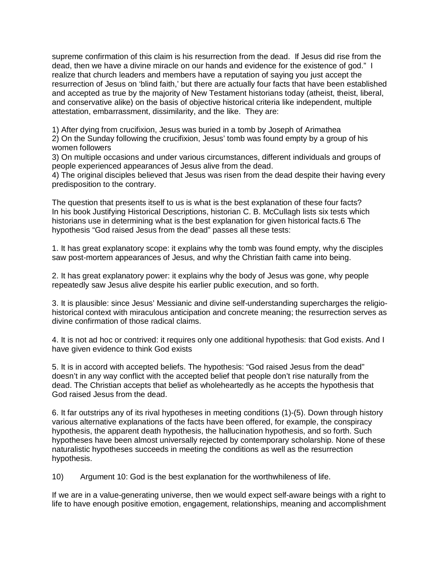supreme confirmation of this claim is his resurrection from the dead. If Jesus did rise from the dead, then we have a divine miracle on our hands and evidence for the existence of god." I realize that church leaders and members have a reputation of saying you just accept the resurrection of Jesus on 'blind faith,' but there are actually four facts that have been established and accepted as true by the majority of New Testament historians today (atheist, theist, liberal, and conservative alike) on the basis of objective historical criteria like independent, multiple attestation, embarrassment, dissimilarity, and the like. They are:

1) After dying from crucifixion, Jesus was buried in a tomb by Joseph of Arimathea 2) On the Sunday following the crucifixion, Jesus' tomb was found empty by a group of his women followers

3) On multiple occasions and under various circumstances, different individuals and groups of people experienced appearances of Jesus alive from the dead.

4) The original disciples believed that Jesus was risen from the dead despite their having every predisposition to the contrary.

The question that presents itself to us is what is the best explanation of these four facts? In his book Justifying Historical Descriptions, historian C. B. McCullagh lists six tests which historians use in determining what is the best explanation for given historical facts.6 The hypothesis "God raised Jesus from the dead" passes all these tests:

1. It has great explanatory scope: it explains why the tomb was found empty, why the disciples saw post-mortem appearances of Jesus, and why the Christian faith came into being.

2. It has great explanatory power: it explains why the body of Jesus was gone, why people repeatedly saw Jesus alive despite his earlier public execution, and so forth.

3. It is plausible: since Jesus' Messianic and divine self-understanding supercharges the religiohistorical context with miraculous anticipation and concrete meaning; the resurrection serves as divine confirmation of those radical claims.

4. It is not ad hoc or contrived: it requires only one additional hypothesis: that God exists. And I have given evidence to think God exists

5. It is in accord with accepted beliefs. The hypothesis: "God raised Jesus from the dead" doesn't in any way conflict with the accepted belief that people don't rise naturally from the dead. The Christian accepts that belief as wholeheartedly as he accepts the hypothesis that God raised Jesus from the dead.

6. It far outstrips any of its rival hypotheses in meeting conditions (1)-(5). Down through history various alternative explanations of the facts have been offered, for example, the conspiracy hypothesis, the apparent death hypothesis, the hallucination hypothesis, and so forth. Such hypotheses have been almost universally rejected by contemporary scholarship. None of these naturalistic hypotheses succeeds in meeting the conditions as well as the resurrection hypothesis.

10) Argument 10: God is the best explanation for the worthwhileness of life.

If we are in a value-generating universe, then we would expect self-aware beings with a right to life to have enough positive emotion, engagement, relationships, meaning and accomplishment